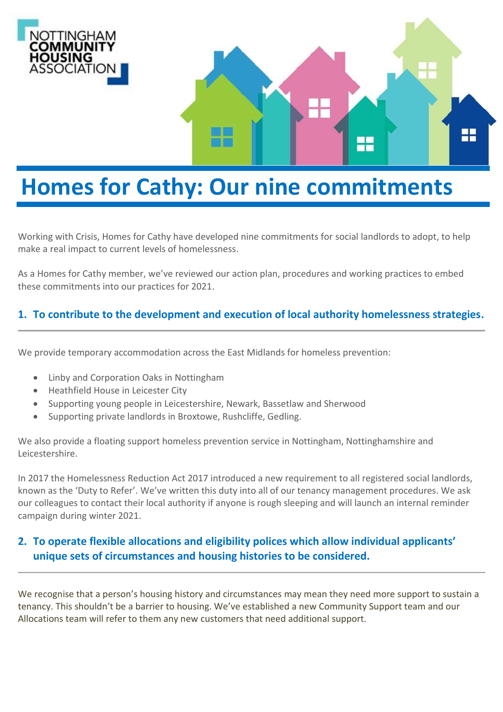

# **Homes for Cathy: Our nine commitments**

Working with Crisis, Homes for Cathy have developed nine commitments for social landlords to adopt, to help make a real impact to current levels of homelessness.

As a Homes for Cathy member, we've reviewed our action plan, procedures and working practices to embed these commitments into our practices for 2021.

# **1. To contribute to the development and execution of local authority homelessness strategies.**

We provide temporary accommodation across the East Midlands for homeless prevention:

- Linby and Corporation Oaks in Nottingham
- Heathfield House in Leicester City
- Supporting young people in Leicestershire, Newark, Bassetlaw and Sherwood
- Supporting private landlords in Broxtowe, Rushcliffe, Gedling.

We also provide a floating support homeless prevention service in Nottingham, Nottinghamshire and Leicestershire.

In 2017 the Homelessness Reduction Act 2017 introduced a new requirement to all registered social landlords, known as the 'Duty to Refer'. We've written this duty into all of our tenancy management procedures. We ask our colleagues to contact their local authority if anyone is rough sleeping and will launch an internal reminder campaign during winter 2021.

# **2. To operate flexible allocations and eligibility polices which allow individual applicants' unique sets of circumstances and housing histories to be considered.**

We recognise that a person's housing history and circumstances may mean they need more support to sustain a tenancy. This shouldn't be a barrier to housing. We've established a new Community Support team and our Allocations team will refer to them any new customers that need additional support.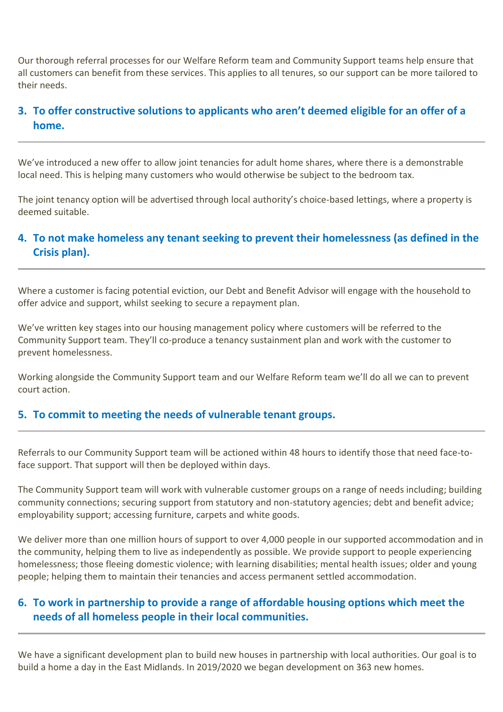Our thorough referral processes for our Welfare Reform team and Community Support teams help ensure that all customers can benefit from these services. This applies to all tenures, so our support can be more tailored to their needs.

# **3. To offer constructive solutions to applicants who aren't deemed eligible for an offer of a home.**

We've introduced a new offer to allow joint tenancies for adult home shares, where there is a demonstrable local need. This is helping many customers who would otherwise be subject to the bedroom tax.

The joint tenancy option will be advertised through local authority's choice-based lettings, where a property is deemed suitable.

## **4. To not make homeless any tenant seeking to prevent their homelessness (as defined in the Crisis plan).**

Where a customer is facing potential eviction, our Debt and Benefit Advisor will engage with the household to offer advice and support, whilst seeking to secure a repayment plan.

We've written key stages into our housing management policy where customers will be referred to the Community Support team. They'll co-produce a tenancy sustainment plan and work with the customer to prevent homelessness.

Working alongside the Community Support team and our Welfare Reform team we'll do all we can to prevent court action.

#### **5. To commit to meeting the needs of vulnerable tenant groups.**

Referrals to our Community Support team will be actioned within 48 hours to identify those that need face-toface support. That support will then be deployed within days.

The Community Support team will work with vulnerable customer groups on a range of needs including; building community connections; securing support from statutory and non-statutory agencies; debt and benefit advice; employability support; accessing furniture, carpets and white goods.

We deliver more than one million hours of support to over 4,000 people in our supported accommodation and in the community, helping them to live as independently as possible. We provide support to people experiencing homelessness; those fleeing domestic violence; with learning disabilities; mental health issues; older and young people; helping them to maintain their tenancies and access permanent settled accommodation.

# **6. To work in partnership to provide a range of affordable housing options which meet the needs of all homeless people in their local communities.**

We have a significant development plan to build new houses in partnership with local authorities. Our goal is to build a home a day in the East Midlands. In 2019/2020 we began development on 363 new homes.